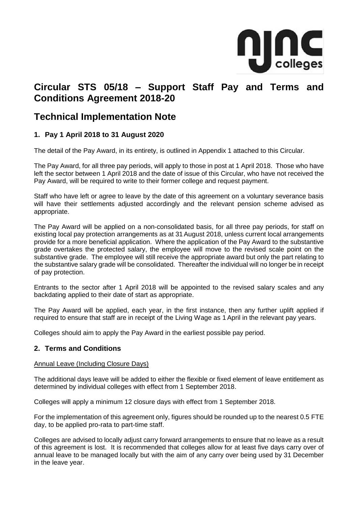

# **Circular STS 05/18 – Support Staff Pay and Terms and Conditions Agreement 2018-20**

## **Technical Implementation Note**

## **1. Pay 1 April 2018 to 31 August 2020**

The detail of the Pay Award, in its entirety, is outlined in Appendix 1 attached to this Circular.

The Pay Award, for all three pay periods, will apply to those in post at 1 April 2018. Those who have left the sector between 1 April 2018 and the date of issue of this Circular, who have not received the Pay Award, will be required to write to their former college and request payment.

Staff who have left or agree to leave by the date of this agreement on a voluntary severance basis will have their settlements adjusted accordingly and the relevant pension scheme advised as appropriate.

The Pay Award will be applied on a non-consolidated basis, for all three pay periods, for staff on existing local pay protection arrangements as at 31August 2018, unless current local arrangements provide for a more beneficial application. Where the application of the Pay Award to the substantive grade overtakes the protected salary, the employee will move to the revised scale point on the substantive grade. The employee will still receive the appropriate award but only the part relating to the substantive salary grade will be consolidated. Thereafter the individual will no longer be in receipt of pay protection.

Entrants to the sector after 1 April 2018 will be appointed to the revised salary scales and any backdating applied to their date of start as appropriate.

The Pay Award will be applied, each year, in the first instance, then any further uplift applied if required to ensure that staff are in receipt of the Living Wage as 1 April in the relevant pay years.

Colleges should aim to apply the Pay Award in the earliest possible pay period.

### **2. Terms and Conditions**

#### Annual Leave (Including Closure Days)

The additional days leave will be added to either the flexible or fixed element of leave entitlement as determined by individual colleges with effect from 1 September 2018.

Colleges will apply a minimum 12 closure days with effect from 1 September 2018.

For the implementation of this agreement only, figures should be rounded up to the nearest 0.5 FTE day, to be applied pro-rata to part-time staff.

Colleges are advised to locally adjust carry forward arrangements to ensure that no leave as a result of this agreement is lost. It is recommended that colleges allow for at least five days carry over of annual leave to be managed locally but with the aim of any carry over being used by 31 December in the leave year.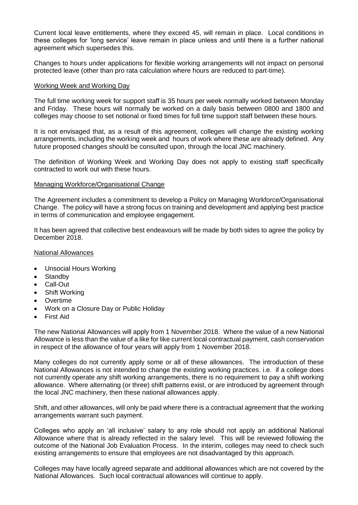Current local leave entitlements, where they exceed 45, will remain in place. Local conditions in these colleges for 'long service' leave remain in place unless and until there is a further national agreement which supersedes this.

Changes to hours under applications for flexible working arrangements will not impact on personal protected leave (other than pro rata calculation where hours are reduced to part-time).

#### Working Week and Working Day

The full time working week for support staff is 35 hours per week normally worked between Monday and Friday. These hours will normally be worked on a daily basis between 0800 and 1800 and colleges may choose to set notional or fixed times for full time support staff between these hours.

It is not envisaged that, as a result of this agreement, colleges will change the existing working arrangements, including the working week and hours of work where these are already defined. Any future proposed changes should be consulted upon, through the local JNC machinery.

The definition of Working Week and Working Day does not apply to existing staff specifically contracted to work out with these hours.

#### Managing Workforce/Organisational Change

The Agreement includes a commitment to develop a Policy on Managing Workforce/Organisational Change. The policy will have a strong focus on training and development and applying best practice in terms of communication and employee engagement.

It has been agreed that collective best endeavours will be made by both sides to agree the policy by December 2018.

#### National Allowances

- Unsocial Hours Working
- Standby
- Call-Out
- Shift Working
- Overtime
- Work on a Closure Day or Public Holiday
- First Aid

The new National Allowances will apply from 1 November 2018. Where the value of a new National Allowance is less than the value of a like for like current local contractual payment, cash conservation in respect of the allowance of four years will apply from 1 November 2018.

Many colleges do not currently apply some or all of these allowances. The introduction of these National Allowances is not intended to change the existing working practices. i.e. if a college does not currently operate any shift working arrangements, there is no requirement to pay a shift working allowance. Where alternating (or three) shift patterns exist, or are introduced by agreement through the local JNC machinery, then these national allowances apply.

Shift, and other allowances, will only be paid where there is a contractual agreement that the working arrangements warrant such payment.

Colleges who apply an 'all inclusive' salary to any role should not apply an additional National Allowance where that is already reflected in the salary level. This will be reviewed following the outcome of the National Job Evaluation Process. In the interim, colleges may need to check such existing arrangements to ensure that employees are not disadvantaged by this approach.

Colleges may have locally agreed separate and additional allowances which are not covered by the National Allowances. Such local contractual allowances will continue to apply.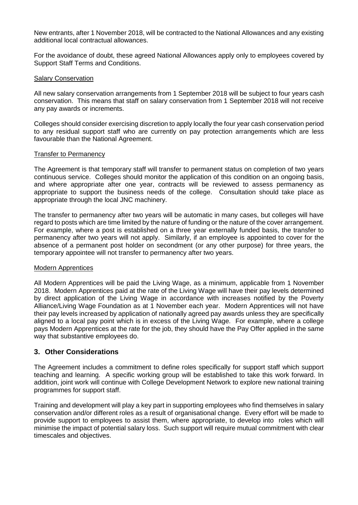New entrants, after 1 November 2018, will be contracted to the National Allowances and any existing additional local contractual allowances.

For the avoidance of doubt, these agreed National Allowances apply only to employees covered by Support Staff Terms and Conditions.

#### Salary Conservation

All new salary conservation arrangements from 1 September 2018 will be subject to four years cash conservation. This means that staff on salary conservation from 1 September 2018 will not receive any pay awards or increments.

Colleges should consider exercising discretion to apply locally the four year cash conservation period to any residual support staff who are currently on pay protection arrangements which are less favourable than the National Agreement.

#### Transfer to Permanency

The Agreement is that temporary staff will transfer to permanent status on completion of two years continuous service. Colleges should monitor the application of this condition on an ongoing basis, and where appropriate after one year, contracts will be reviewed to assess permanency as appropriate to support the business needs of the college. Consultation should take place as appropriate through the local JNC machinery.

The transfer to permanency after two years will be automatic in many cases, but colleges will have regard to posts which are time limited by the nature of funding or the nature of the cover arrangement. For example, where a post is established on a three year externally funded basis, the transfer to permanency after two years will not apply. Similarly, if an employee is appointed to cover for the absence of a permanent post holder on secondment (or any other purpose) for three years, the temporary appointee will not transfer to permanency after two years.

#### Modern Apprentices

All Modern Apprentices will be paid the Living Wage, as a minimum, applicable from 1 November 2018. Modern Apprentices paid at the rate of the Living Wage will have their pay levels determined by direct application of the Living Wage in accordance with increases notified by the Poverty Alliance/Living Wage Foundation as at 1 November each year. Modern Apprentices will not have their pay levels increased by application of nationally agreed pay awards unless they are specifically aligned to a local pay point which is in excess of the Living Wage. For example, where a college pays Modern Apprentices at the rate for the job, they should have the Pay Offer applied in the same way that substantive employees do.

### **3. Other Considerations**

The Agreement includes a commitment to define roles specifically for support staff which support teaching and learning. A specific working group will be established to take this work forward. In addition, joint work will continue with College Development Network to explore new national training programmes for support staff.

Training and development will play a key part in supporting employees who find themselves in salary conservation and/or different roles as a result of organisational change. Every effort will be made to provide support to employees to assist them, where appropriate, to develop into roles which will minimise the impact of potential salary loss. Such support will require mutual commitment with clear timescales and objectives.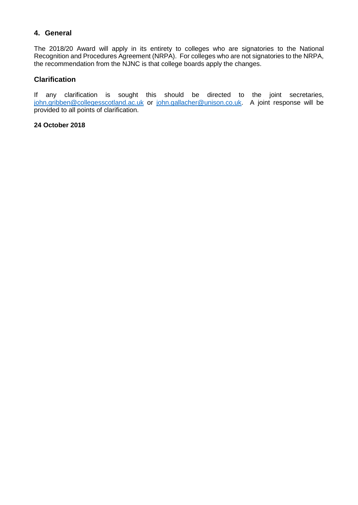## **4. General**

The 2018/20 Award will apply in its entirety to colleges who are signatories to the National Recognition and Procedures Agreement (NRPA). For colleges who are not signatories to the NRPA, the recommendation from the NJNC is that college boards apply the changes.

### **Clarification**

If any clarification is sought this should be directed to the joint secretaries, [john.gribben@collegesscotland.ac.uk](mailto:john.gribben@collegesscotland.ac.uk) or [john.gallacher@unison.co.uk.](mailto:john.gallacher@unison.co.uk) A joint response will be provided to all points of clarification.

#### **24 October 2018**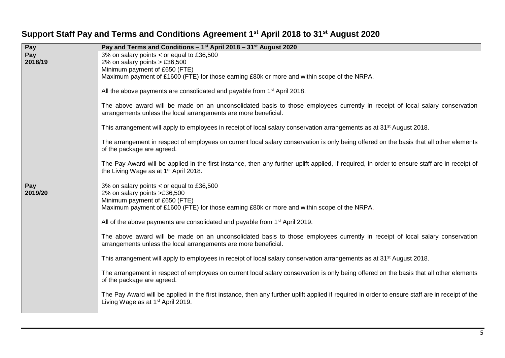| Pay     | Pay and Terms and Conditions - 1 <sup>st</sup> April 2018 - 31 <sup>st</sup> August 2020                                                        |
|---------|-------------------------------------------------------------------------------------------------------------------------------------------------|
| Pay     | 3% on salary points < or equal to £36,500                                                                                                       |
| 2018/19 | 2% on salary points $> \text{\pounds}36,500$                                                                                                    |
|         | Minimum payment of £650 (FTE)                                                                                                                   |
|         | Maximum payment of £1600 (FTE) for those earning £80k or more and within scope of the NRPA.                                                     |
|         |                                                                                                                                                 |
|         | All the above payments are consolidated and payable from 1 <sup>st</sup> April 2018.                                                            |
|         |                                                                                                                                                 |
|         | The above award will be made on an unconsolidated basis to those employees currently in receipt of local salary conservation                    |
|         | arrangements unless the local arrangements are more beneficial.                                                                                 |
|         |                                                                                                                                                 |
|         | This arrangement will apply to employees in receipt of local salary conservation arrangements as at 31 <sup>st</sup> August 2018.               |
|         |                                                                                                                                                 |
|         | The arrangement in respect of employees on current local salary conservation is only being offered on the basis that all other elements         |
|         | of the package are agreed.                                                                                                                      |
|         |                                                                                                                                                 |
|         | The Pay Award will be applied in the first instance, then any further uplift applied, if required, in order to ensure staff are in receipt of   |
|         | the Living Wage as at 1 <sup>st</sup> April 2018.                                                                                               |
| Pay     | 3% on salary points < or equal to £36,500                                                                                                       |
| 2019/20 | 2% on salary points >£36,500                                                                                                                    |
|         | Minimum payment of £650 (FTE)                                                                                                                   |
|         | Maximum payment of £1600 (FTE) for those earning £80k or more and within scope of the NRPA.                                                     |
|         |                                                                                                                                                 |
|         | All of the above payments are consolidated and payable from 1 <sup>st</sup> April 2019.                                                         |
|         |                                                                                                                                                 |
|         | The above award will be made on an unconsolidated basis to those employees currently in receipt of local salary conservation                    |
|         | arrangements unless the local arrangements are more beneficial.                                                                                 |
|         |                                                                                                                                                 |
|         | This arrangement will apply to employees in receipt of local salary conservation arrangements as at 31 <sup>st</sup> August 2018.               |
|         |                                                                                                                                                 |
|         | The arrangement in respect of employees on current local salary conservation is only being offered on the basis that all other elements         |
|         | of the package are agreed.                                                                                                                      |
|         |                                                                                                                                                 |
|         | The Pay Award will be applied in the first instance, then any further uplift applied if required in order to ensure staff are in receipt of the |
|         | Living Wage as at 1 <sup>st</sup> April 2019.                                                                                                   |
|         |                                                                                                                                                 |

## **Support Staff Pay and Terms and Conditions Agreement 1 st April 2018 to 31st August 2020**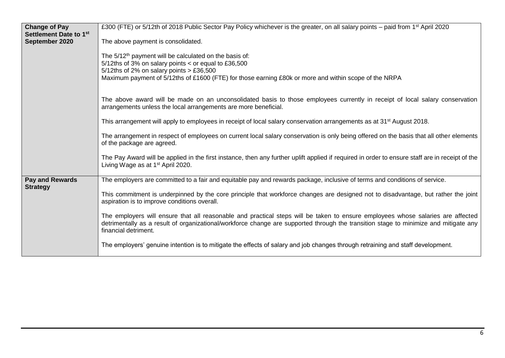| <b>Change of Pay</b>                                 | £300 (FTE) or 5/12th of 2018 Public Sector Pay Policy whichever is the greater, on all salary points – paid from 1 <sup>st</sup> April 2020                                                                                                                                                       |
|------------------------------------------------------|---------------------------------------------------------------------------------------------------------------------------------------------------------------------------------------------------------------------------------------------------------------------------------------------------|
| Settlement Date to 1 <sup>st</sup><br>September 2020 | The above payment is consolidated.                                                                                                                                                                                                                                                                |
|                                                      | The 5/12 <sup>th</sup> payment will be calculated on the basis of:<br>$5/12$ ths of 3% on salary points < or equal to £36,500<br>5/12ths of 2% on salary points $> \text{\pounds}36,500$<br>Maximum payment of 5/12ths of £1600 (FTE) for those earning £80k or more and within scope of the NRPA |
|                                                      | The above award will be made on an unconsolidated basis to those employees currently in receipt of local salary conservation<br>arrangements unless the local arrangements are more beneficial.                                                                                                   |
|                                                      | This arrangement will apply to employees in receipt of local salary conservation arrangements as at 31 <sup>st</sup> August 2018.                                                                                                                                                                 |
|                                                      | The arrangement in respect of employees on current local salary conservation is only being offered on the basis that all other elements<br>of the package are agreed.                                                                                                                             |
|                                                      | The Pay Award will be applied in the first instance, then any further uplift applied if required in order to ensure staff are in receipt of the<br>Living Wage as at 1 <sup>st</sup> April 2020.                                                                                                  |
| <b>Pay and Rewards</b>                               | The employers are committed to a fair and equitable pay and rewards package, inclusive of terms and conditions of service.                                                                                                                                                                        |
| <b>Strategy</b>                                      | This commitment is underpinned by the core principle that workforce changes are designed not to disadvantage, but rather the joint<br>aspiration is to improve conditions overall.                                                                                                                |
|                                                      | The employers will ensure that all reasonable and practical steps will be taken to ensure employees whose salaries are affected<br>detrimentally as a result of organizational/workforce change are supported through the transition stage to minimize and mitigate any<br>financial detriment.   |
|                                                      | The employers' genuine intention is to mitigate the effects of salary and job changes through retraining and staff development.                                                                                                                                                                   |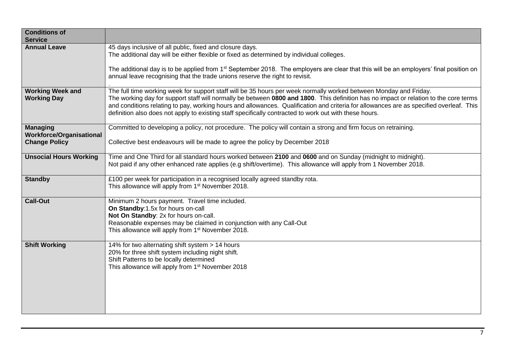| <b>Conditions of</b><br><b>Service</b>                                     |                                                                                                                                                                                                                                                                                                                                                                                                                                                                                                                 |
|----------------------------------------------------------------------------|-----------------------------------------------------------------------------------------------------------------------------------------------------------------------------------------------------------------------------------------------------------------------------------------------------------------------------------------------------------------------------------------------------------------------------------------------------------------------------------------------------------------|
| <b>Annual Leave</b>                                                        | 45 days inclusive of all public, fixed and closure days.<br>The additional day will be either flexible or fixed as determined by individual colleges.                                                                                                                                                                                                                                                                                                                                                           |
|                                                                            | The additional day is to be applied from 1 <sup>st</sup> September 2018. The employers are clear that this will be an employers' final position on<br>annual leave recognising that the trade unions reserve the right to revisit.                                                                                                                                                                                                                                                                              |
| <b>Working Week and</b><br><b>Working Day</b>                              | The full time working week for support staff will be 35 hours per week normally worked between Monday and Friday.<br>The working day for support staff will normally be between 0800 and 1800. This definition has no impact or relation to the core terms<br>and conditions relating to pay, working hours and allowances. Qualification and criteria for allowances are as specified overleaf. This<br>definition also does not apply to existing staff specifically contracted to work out with these hours. |
| <b>Managing</b><br><b>Workforce/Organisational</b><br><b>Change Policy</b> | Committed to developing a policy, not procedure. The policy will contain a strong and firm focus on retraining.<br>Collective best endeavours will be made to agree the policy by December 2018                                                                                                                                                                                                                                                                                                                 |
| <b>Unsocial Hours Working</b>                                              | Time and One Third for all standard hours worked between 2100 and 0600 and on Sunday (midnight to midnight).<br>Not paid if any other enhanced rate applies (e.g shift/overtime). This allowance will apply from 1 November 2018.                                                                                                                                                                                                                                                                               |
| <b>Standby</b>                                                             | £100 per week for participation in a recognised locally agreed standby rota.<br>This allowance will apply from 1 <sup>st</sup> November 2018.                                                                                                                                                                                                                                                                                                                                                                   |
| <b>Call-Out</b>                                                            | Minimum 2 hours payment. Travel time included.<br>On Standby:1.5x for hours on-call<br>Not On Standby: 2x for hours on-call.<br>Reasonable expenses may be claimed in conjunction with any Call-Out<br>This allowance will apply from 1 <sup>st</sup> November 2018.                                                                                                                                                                                                                                            |
| <b>Shift Working</b>                                                       | 14% for two alternating shift system > 14 hours<br>20% for three shift system including night shift.<br>Shift Patterns to be locally determined<br>This allowance will apply from 1 <sup>st</sup> November 2018                                                                                                                                                                                                                                                                                                 |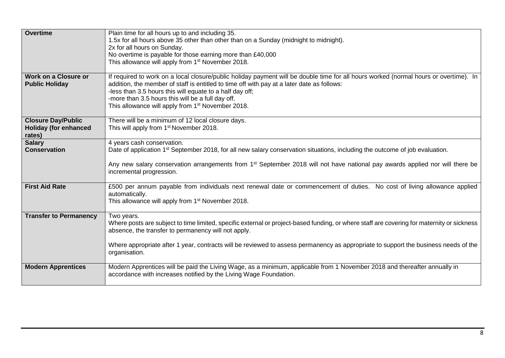| <b>Overtime</b>               | Plain time for all hours up to and including 35.                                                                                           |
|-------------------------------|--------------------------------------------------------------------------------------------------------------------------------------------|
|                               | 1.5x for all hours above 35 other than other than on a Sunday (midnight to midnight).                                                      |
|                               | 2x for all hours on Sunday.                                                                                                                |
|                               | No overtime is payable for those earning more than £40,000                                                                                 |
|                               | This allowance will apply from 1 <sup>st</sup> November 2018.                                                                              |
|                               |                                                                                                                                            |
| <b>Work on a Closure or</b>   | If required to work on a local closure/public holiday payment will be double time for all hours worked (normal hours or overtime). In      |
| <b>Public Holiday</b>         | addition, the member of staff is entitled to time off with pay at a later date as follows:                                                 |
|                               | -less than 3.5 hours this will equate to a half day off;                                                                                   |
|                               | -more than 3.5 hours this will be a full day off.                                                                                          |
|                               | This allowance will apply from 1 <sup>st</sup> November 2018.                                                                              |
|                               |                                                                                                                                            |
| <b>Closure Day/Public</b>     | There will be a minimum of 12 local closure days.                                                                                          |
| <b>Holiday (for enhanced</b>  | This will apply from 1 <sup>st</sup> November 2018.                                                                                        |
| rates)                        |                                                                                                                                            |
| <b>Salary</b>                 | 4 years cash conservation.                                                                                                                 |
| <b>Conservation</b>           | Date of application 1 <sup>st</sup> September 2018, for all new salary conservation situations, including the outcome of job evaluation.   |
|                               |                                                                                                                                            |
|                               | Any new salary conservation arrangements from 1 <sup>st</sup> September 2018 will not have national pay awards applied nor will there be   |
|                               | incremental progression.                                                                                                                   |
|                               |                                                                                                                                            |
| <b>First Aid Rate</b>         | £500 per annum payable from individuals next renewal date or commencement of duties. No cost of living allowance applied                   |
|                               | automatically.                                                                                                                             |
|                               | This allowance will apply from 1 <sup>st</sup> November 2018.                                                                              |
|                               |                                                                                                                                            |
| <b>Transfer to Permanency</b> | Two years.                                                                                                                                 |
|                               | Where posts are subject to time limited, specific external or project-based funding, or where staff are covering for maternity or sickness |
|                               | absence, the transfer to permanency will not apply.                                                                                        |
|                               |                                                                                                                                            |
|                               | Where appropriate after 1 year, contracts will be reviewed to assess permanency as appropriate to support the business needs of the        |
|                               | organisation.                                                                                                                              |
| <b>Modern Apprentices</b>     | Modern Apprentices will be paid the Living Wage, as a minimum, applicable from 1 November 2018 and thereafter annually in                  |
|                               | accordance with increases notified by the Living Wage Foundation.                                                                          |
|                               |                                                                                                                                            |
|                               |                                                                                                                                            |